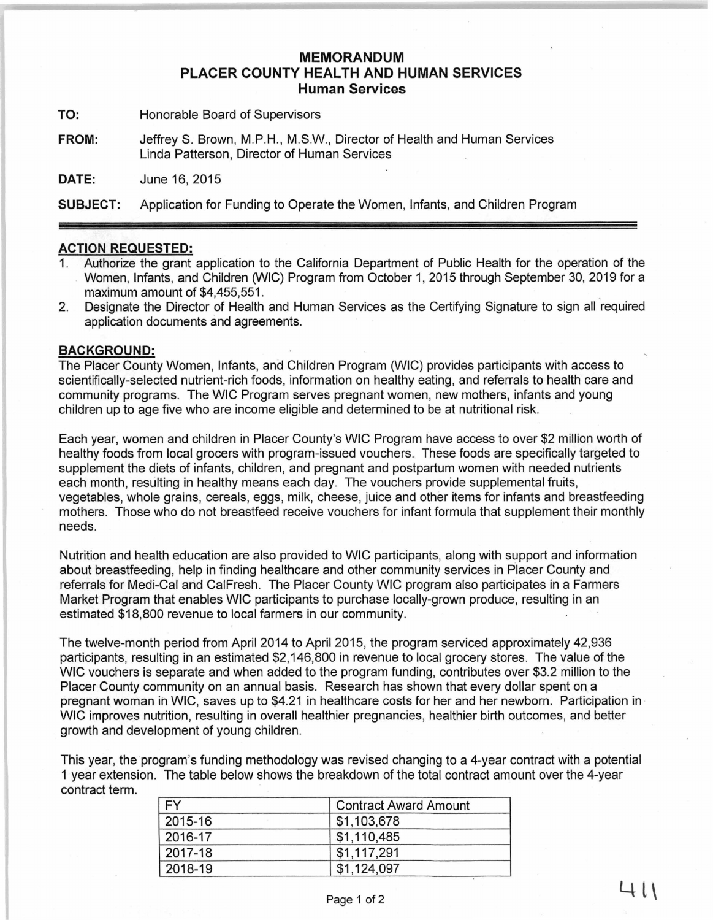## **MEMORANDUM PLACER COUNTY HEALTH AND HUMAN SERVICES Human Services**

**TO:** Honorable Board of Supervisors

**FROM:** JeffreyS. Brown, M.P.H., M.S.W., Director of Health and Human Services Linda Patterson, Director of Human Services

**DATE:** June 16, 2015

**SUBJECT:** Application for Funding to Operate the Women, Infants, and Children Program

## **ACTION REQUESTED:**

- 1. Authorize the grant application to the California Department of Public Health for the operation of the Women, Infants, and Children (WIC) Program from October 1, 2015 through September 30, 2019 for a maximum amount of \$4,455,551.
- 2. Designate the Director of Health and Human Services as the Certifying Signature to sign all required application documents and agreements.

## **BACKGROUND:**

The Placer County Women, Infants, and Chifdren Program (WIC) provides participants with access to scientifically-selected nutrient-rich foods, information on healthy eating, and referrals to health care and community programs. The WIC Program serves pregnant women, new mothers, infants and young children up to age five who are income eligible and determined to be at nutritional risk.

Each year, women and children in Placer County's WIC Program have access to over \$2 million worth of healthy foods from local grocers with program-issued vouchers. These foods are specifically targeted to supplement the diets of infants, children, and pregnant and postpartum women with needed nutrients each month, resulting in healthy means each day. The vouchers provide supplemental fruits, vegetables, whole grains, cereals, eggs, milk, cheese, juice and other items for infants and breastfeeding mothers. Those who do not breastfeed receive vouchers for infant formula that supplement their monthly needs.

Nutrition and health education are also provided to WIC participants, along with support and information about breastfeeding, help in finding healthcare and other community services in Placer County and referrals for Medi-Cal and CaiFresh. The Placer County WIC program also participates in a Farmers Market Program that enables WIC participants to purchase locally-grown produce, resulting in an estimated \$18,800 revenue to local farmers in our community.

The twelve-month period from April 2014 to April 2015, the program serviced approximately 42,936 participants, resulting in an estimated \$2,146,800 in revenue to local grocery stores. The value of the WIC vouchers is separate and when added to the program funding, contributes over \$3.2 million to the Placer County community on an annual basis. Research has shown that every dollar spent on a pregnant woman in WIC, saves up to \$4.21 in healthcare costs for her and her newborn. Participation in · WIC improves nutrition, resulting in overall healthier pregnancies, healthier birth outcomes, and better growth and development of young children.

This year, the program's funding methodology was revised changing to a 4-year contract with a potential 1 year extension. The table below shows the breakdown of the total contract amount over the 4-year contract term.

| EV      | <b>Contract Award Amount</b> |
|---------|------------------------------|
| 2015-16 | \$1,103,678                  |
| 2016-17 | \$1,110,485                  |
| 2017-18 | \$1,117,291                  |
| 2018-19 | \$1,124,097                  |